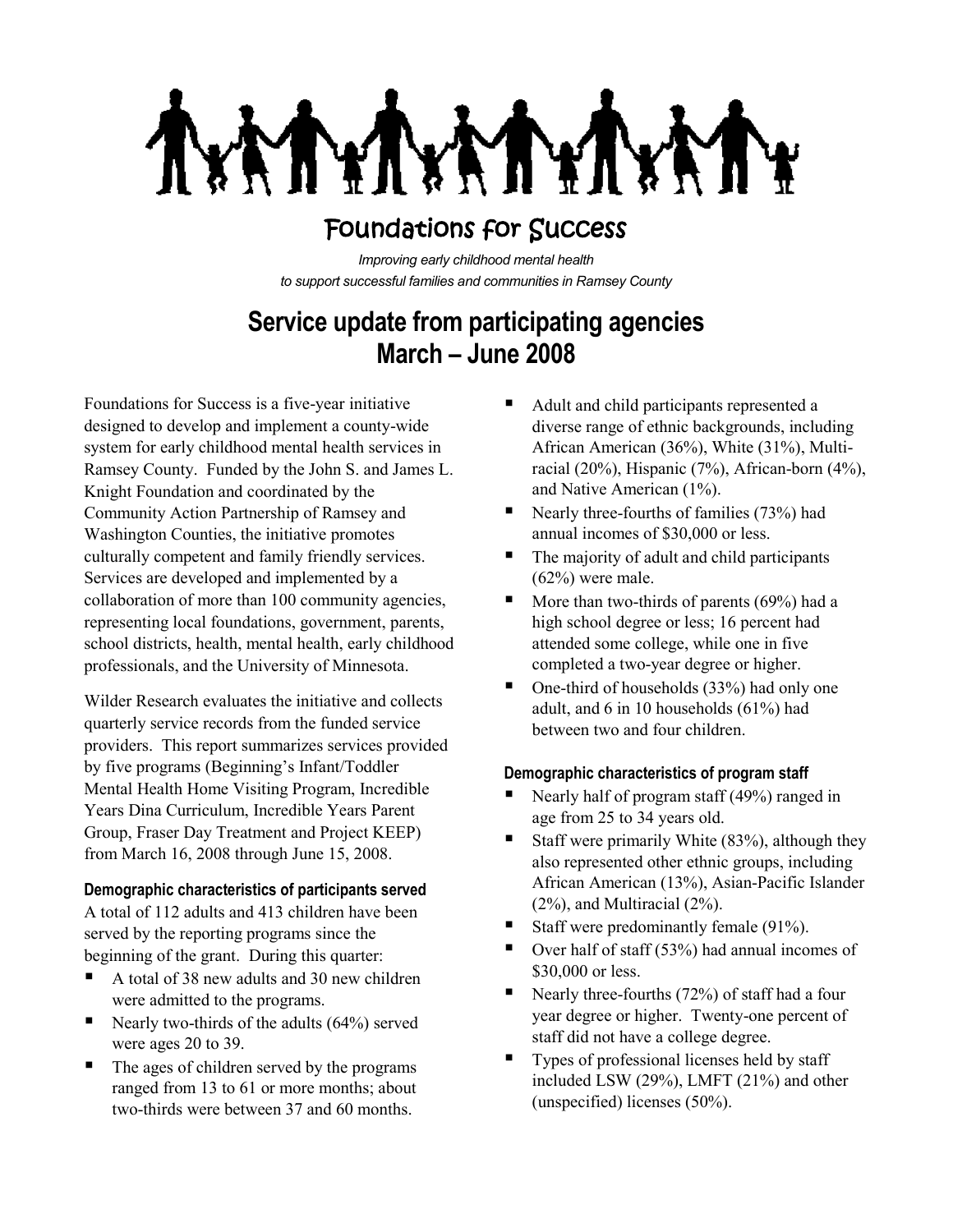VI T. **NYT** 

# Foundations for Success

*Improving early childhood mental health to support successful families and communities in Ramsey County*

# **Service update from participating agencies March – June 2008**

Foundations for Success is a five-year initiative designed to develop and implement a county-wide system for early childhood mental health services in Ramsey County. Funded by the John S. and James L. Knight Foundation and coordinated by the Community Action Partnership of Ramsey and Washington Counties, the initiative promotes culturally competent and family friendly services. Services are developed and implemented by a collaboration of more than 100 community agencies, representing local foundations, government, parents, school districts, health, mental health, early childhood professionals, and the University of Minnesota.

Wilder Research evaluates the initiative and collects quarterly service records from the funded service providers. This report summarizes services provided by five programs (Beginning's Infant/Toddler Mental Health Home Visiting Program, Incredible Years Dina Curriculum, Incredible Years Parent Group, Fraser Day Treatment and Project KEEP) from March 16, 2008 through June 15, 2008.

#### **Demographic characteristics of participants served**

A total of 112 adults and 413 children have been served by the reporting programs since the beginning of the grant. During this quarter:

- A total of 38 new adults and 30 new children were admitted to the programs.
- Nearly two-thirds of the adults  $(64\%)$  served were ages 20 to 39.
- The ages of children served by the programs ranged from 13 to 61 or more months; about two-thirds were between 37 and 60 months.
- Adult and child participants represented a diverse range of ethnic backgrounds, including African American (36%), White (31%), Multiracial (20%), Hispanic (7%), African-born (4%), and Native American (1%).
- Nearly three-fourths of families  $(73%)$  had annual incomes of \$30,000 or less.
- The majority of adult and child participants (62%) were male.
- $\blacksquare$  More than two-thirds of parents (69%) had a high school degree or less; 16 percent had attended some college, while one in five completed a two-year degree or higher.
- $\blacksquare$  One-third of households (33%) had only one adult, and 6 in 10 households (61%) had between two and four children.

## **Demographic characteristics of program staff**

- Nearly half of program staff (49%) ranged in age from 25 to 34 years old.
- Staff were primarily White (83%), although they also represented other ethnic groups, including African American (13%), Asian-Pacific Islander (2%), and Multiracial (2%).
- Staff were predominantly female (91%).
- $\blacksquare$  Over half of staff (53%) had annual incomes of \$30,000 or less.
- Nearly three-fourths  $(72%)$  of staff had a four year degree or higher. Twenty-one percent of staff did not have a college degree.
- Types of professional licenses held by staff included LSW (29%), LMFT (21%) and other (unspecified) licenses (50%).